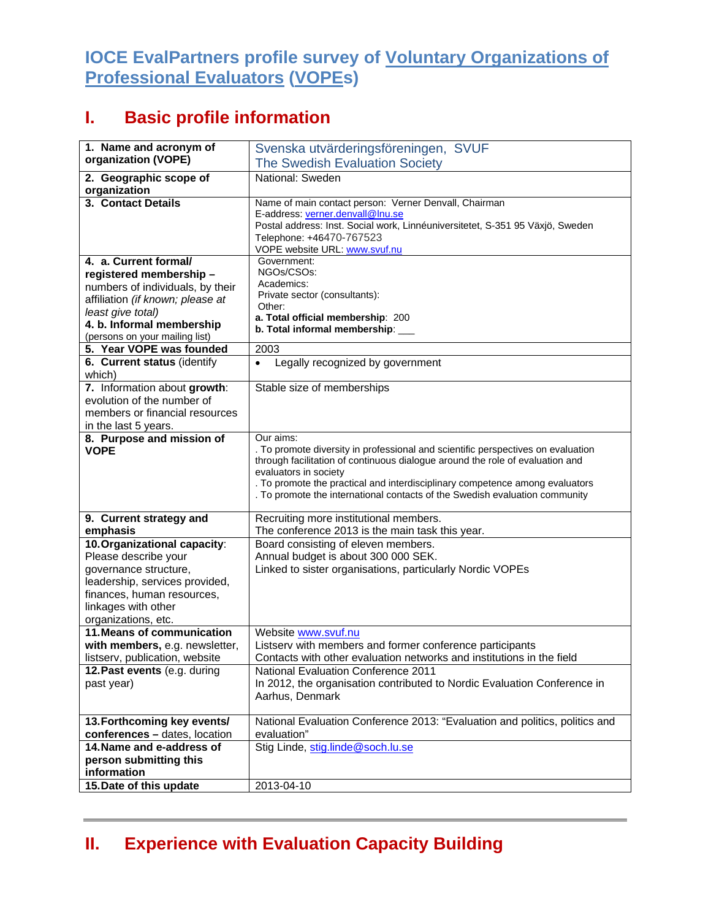## **IOCE EvalPartners profile survey of Voluntary Organizations of Professional Evaluators (VOPEs)**

## **I. Basic profile information**

| 1. Name and acronym of                 | Svenska utvärderingsföreningen, SVUF                                                                                                                        |
|----------------------------------------|-------------------------------------------------------------------------------------------------------------------------------------------------------------|
| organization (VOPE)                    | The Swedish Evaluation Society                                                                                                                              |
|                                        |                                                                                                                                                             |
| 2. Geographic scope of<br>organization | National: Sweden                                                                                                                                            |
| 3. Contact Details                     | Name of main contact person: Verner Denvall, Chairman                                                                                                       |
|                                        | E-address: verner.denvall@Inu.se                                                                                                                            |
|                                        | Postal address: Inst. Social work, Linnéuniversitetet, S-351 95 Växjö, Sweden                                                                               |
|                                        | Telephone: +46470-767523                                                                                                                                    |
|                                        | VOPE website URL: www.svuf.nu                                                                                                                               |
| 4. a. Current formal/                  | Government:                                                                                                                                                 |
| registered membership-                 | NGOs/CSOs:                                                                                                                                                  |
| numbers of individuals, by their       | Academics:<br>Private sector (consultants):                                                                                                                 |
| affiliation (if known; please at       | Other:                                                                                                                                                      |
| least give total)                      | a. Total official membership: 200                                                                                                                           |
| 4. b. Informal membership              | b. Total informal membership: ___                                                                                                                           |
| (persons on your mailing list)         |                                                                                                                                                             |
| 5. Year VOPE was founded               | 2003                                                                                                                                                        |
| 6. Current status (identify<br>which)  | Legally recognized by government<br>$\bullet$                                                                                                               |
| 7. Information about growth:           | Stable size of memberships                                                                                                                                  |
| evolution of the number of             |                                                                                                                                                             |
| members or financial resources         |                                                                                                                                                             |
| in the last 5 years.                   |                                                                                                                                                             |
| 8. Purpose and mission of              | Our aims:                                                                                                                                                   |
| <b>VOPE</b>                            | . To promote diversity in professional and scientific perspectives on evaluation                                                                            |
|                                        | through facilitation of continuous dialogue around the role of evaluation and                                                                               |
|                                        | evaluators in society                                                                                                                                       |
|                                        | . To promote the practical and interdisciplinary competence among evaluators<br>. To promote the international contacts of the Swedish evaluation community |
|                                        |                                                                                                                                                             |
| 9. Current strategy and                | Recruiting more institutional members.                                                                                                                      |
| emphasis                               | The conference 2013 is the main task this year.                                                                                                             |
| 10. Organizational capacity:           | Board consisting of eleven members.                                                                                                                         |
| Please describe your                   | Annual budget is about 300 000 SEK.                                                                                                                         |
| governance structure,                  | Linked to sister organisations, particularly Nordic VOPEs                                                                                                   |
| leadership, services provided,         |                                                                                                                                                             |
| finances, human resources,             |                                                                                                                                                             |
| linkages with other                    |                                                                                                                                                             |
| organizations, etc.                    |                                                                                                                                                             |
| 11. Means of communication             | Website www.svuf.nu                                                                                                                                         |
| with members, e.g. newsletter,         | Listserv with members and former conference participants                                                                                                    |
| listserv, publication, website         | Contacts with other evaluation networks and institutions in the field                                                                                       |
| 12. Past events (e.g. during           | <b>National Evaluation Conference 2011</b>                                                                                                                  |
| past year)                             | In 2012, the organisation contributed to Nordic Evaluation Conference in                                                                                    |
|                                        | Aarhus, Denmark                                                                                                                                             |
| 13. Forthcoming key events/            | National Evaluation Conference 2013: "Evaluation and politics, politics and                                                                                 |
| conferences - dates, location          | evaluation"                                                                                                                                                 |
| 14. Name and e-address of              | Stig Linde, stig.linde@soch.lu.se                                                                                                                           |
| person submitting this                 |                                                                                                                                                             |
| information                            |                                                                                                                                                             |
| 15. Date of this update                | 2013-04-10                                                                                                                                                  |
|                                        |                                                                                                                                                             |

## **II. Experience with Evaluation Capacity Building**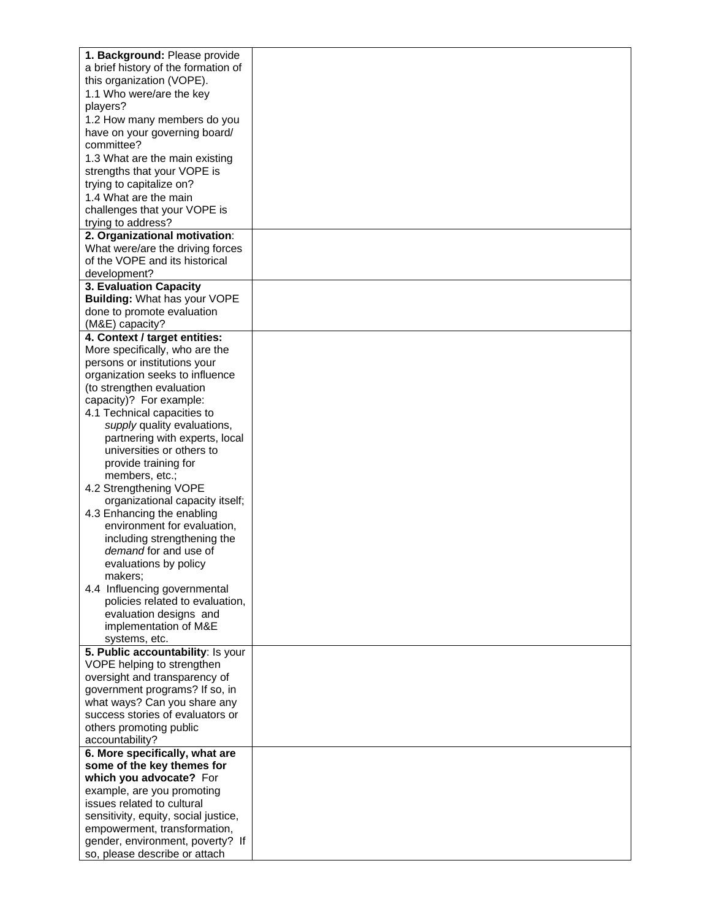| 1. Background: Please provide        |  |
|--------------------------------------|--|
|                                      |  |
| a brief history of the formation of  |  |
| this organization (VOPE).            |  |
| 1.1 Who were/are the key             |  |
| players?                             |  |
| 1.2 How many members do you          |  |
| have on your governing board/        |  |
| committee?                           |  |
|                                      |  |
| 1.3 What are the main existing       |  |
| strengths that your VOPE is          |  |
| trying to capitalize on?             |  |
| 1.4 What are the main                |  |
| challenges that your VOPE is         |  |
| trying to address?                   |  |
| 2. Organizational motivation:        |  |
| What were/are the driving forces     |  |
| of the VOPE and its historical       |  |
| development?                         |  |
| 3. Evaluation Capacity               |  |
| <b>Building: What has your VOPE</b>  |  |
| done to promote evaluation           |  |
| (M&E) capacity?                      |  |
| 4. Context / target entities:        |  |
| More specifically, who are the       |  |
| persons or institutions your         |  |
| organization seeks to influence      |  |
| (to strengthen evaluation            |  |
|                                      |  |
| capacity)? For example:              |  |
| 4.1 Technical capacities to          |  |
| supply quality evaluations,          |  |
| partnering with experts, local       |  |
| universities or others to            |  |
| provide training for                 |  |
| members, etc.;                       |  |
| 4.2 Strengthening VOPE               |  |
| organizational capacity itself;      |  |
| 4.3 Enhancing the enabling           |  |
| environment for evaluation,          |  |
| including strengthening the          |  |
| demand for and use of                |  |
| evaluations by policy                |  |
| makers;                              |  |
| 4.4 Influencing governmental         |  |
| policies related to evaluation,      |  |
|                                      |  |
| evaluation designs and               |  |
| implementation of M&E                |  |
| systems, etc.                        |  |
| 5. Public accountability: Is your    |  |
| VOPE helping to strengthen           |  |
| oversight and transparency of        |  |
| government programs? If so, in       |  |
| what ways? Can you share any         |  |
| success stories of evaluators or     |  |
| others promoting public              |  |
| accountability?                      |  |
| 6. More specifically, what are       |  |
| some of the key themes for           |  |
| which you advocate? For              |  |
| example, are you promoting           |  |
| issues related to cultural           |  |
| sensitivity, equity, social justice, |  |
| empowerment, transformation,         |  |
| gender, environment, poverty? If     |  |
| so, please describe or attach        |  |